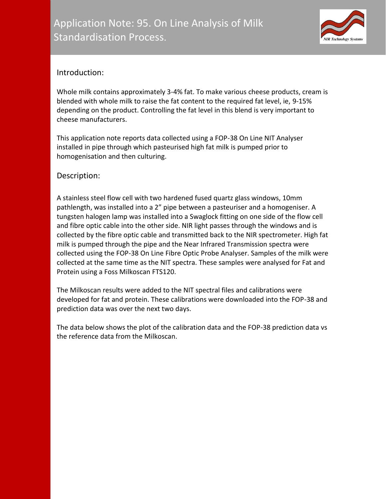

# Introduction:

Whole milk contains approximately 3-4% fat. To make various cheese products, cream is blended with whole milk to raise the fat content to the required fat level, ie, 9-15% depending on the product. Controlling the fat level in this blend is very important to cheese manufacturers.

This application note reports data collected using a FOP-38 On Line NIT Analyser installed in pipe through which pasteurised high fat milk is pumped prior to homogenisation and then culturing.

# Description:

A stainless steel flow cell with two hardened fused quartz glass windows, 10mm pathlength, was installed into a 2" pipe between a pasteuriser and a homogeniser. A tungsten halogen lamp was installed into a Swaglock fitting on one side of the flow cell and fibre optic cable into the other side. NIR light passes through the windows and is collected by the fibre optic cable and transmitted back to the NIR spectrometer. High fat milk is pumped through the pipe and the Near Infrared Transmission spectra were collected using the FOP-38 On Line Fibre Optic Probe Analyser. Samples of the milk were collected at the same time as the NIT spectra. These samples were analysed for Fat and Protein using a Foss Milkoscan FTS120.

The Milkoscan results were added to the NIT spectral files and calibrations were developed for fat and protein. These calibrations were downloaded into the FOP-38 and prediction data was over the next two days.

The data below shows the plot of the calibration data and the FOP-38 prediction data vs the reference data from the Milkoscan.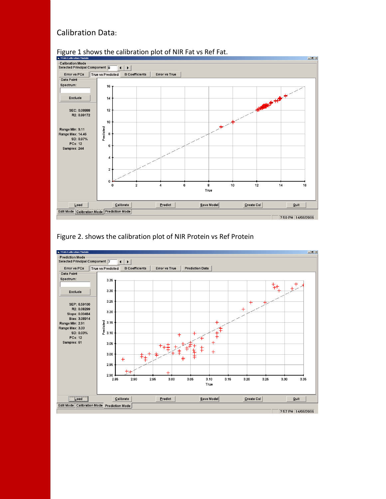## Calibration Data:



#### Figure 1 shows the calibration plot of NIR Fat vs Ref Fat.



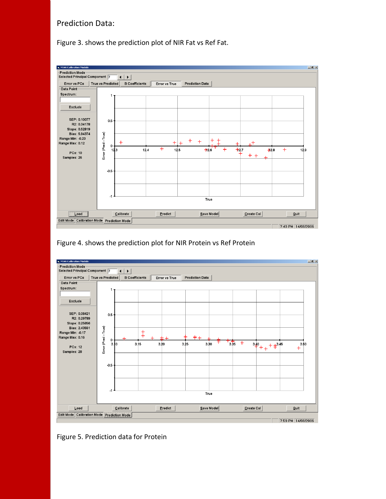## Prediction Data:

Figure 3. shows the prediction plot of NIR Fat vs Ref Fat.



Figure 4. shows the prediction plot for NIR Protein vs Ref Protein